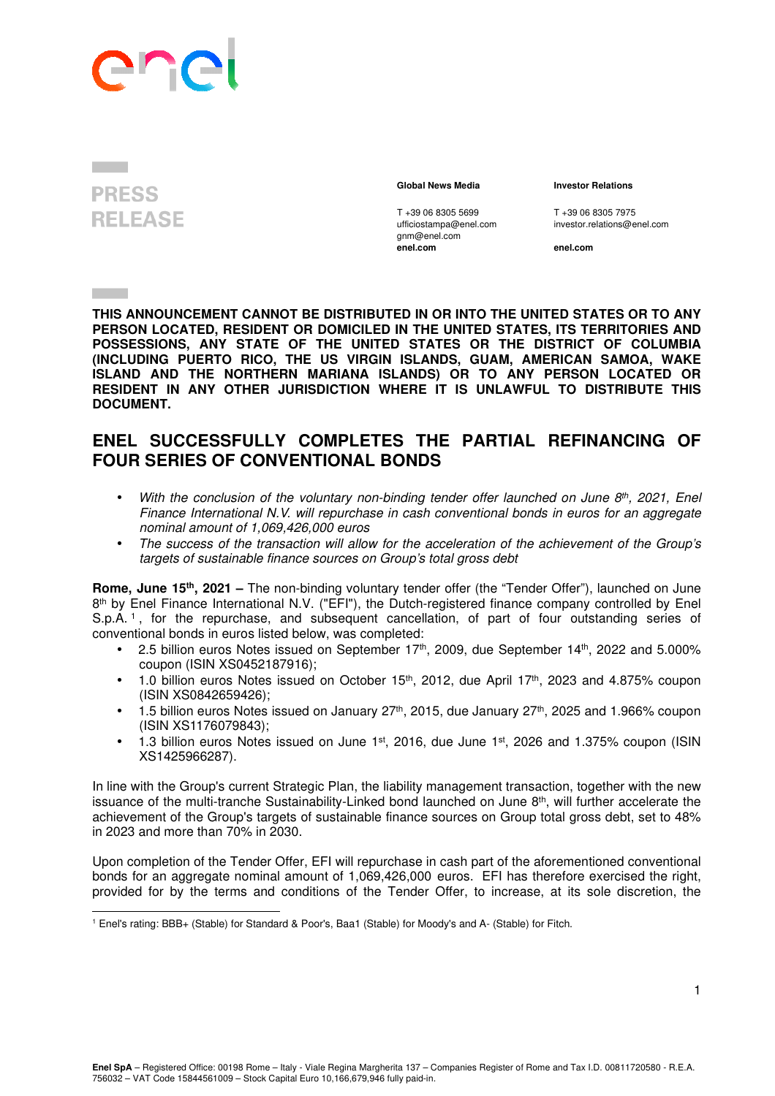## In

## **PRESS RELEASE**

T +39 06 8305 5699 T +39 06 8305 7975<br>
ufficiostampa@enel.com investor.relations@e gnm@enel.com<br>enel.com

 **Global News Media Investor Relations** 

investor.relations@enel.com

**enel.com enel.com**

**THIS ANNOUNCEMENT CANNOT BE DISTRIBUTED IN OR INTO THE UNITED STATES OR TO ANY PERSON LOCATED, RESIDENT OR DOMICILED IN THE UNITED STATES, ITS TERRITORIES AND POSSESSIONS, ANY STATE OF THE UNITED STATES OR THE DISTRICT OF COLUMBIA (INCLUDING PUERTO RICO, THE US VIRGIN ISLANDS, GUAM, AMERICAN SAMOA, WAKE ISLAND AND THE NORTHERN MARIANA ISLANDS) OR TO ANY PERSON LOCATED OR RESIDENT IN ANY OTHER JURISDICTION WHERE IT IS UNLAWFUL TO DISTRIBUTE THIS DOCUMENT.** 

## **ENEL SUCCESSFULLY COMPLETES THE PARTIAL REFINANCING OF FOUR SERIES OF CONVENTIONAL BONDS**

- With the conclusion of the voluntary non-binding tender offer launched on June  $8<sup>th</sup>$ , 2021, Enel Finance International N.V. will repurchase in cash conventional bonds in euros for an aggregate nominal amount of 1,069,426,000 euros
- The success of the transaction will allow for the acceleration of the achievement of the Group's targets of sustainable finance sources on Group's total gross debt

**Rome, June 15th, 2021 –** The non-binding voluntary tender offer (the "Tender Offer"), launched on June 8<sup>th</sup> by Enel Finance International N.V. ("EFI"), the Dutch-registered finance company controlled by Enel S.p.A. <sup>1</sup> , for the repurchase, and subsequent cancellation, of part of four outstanding series of conventional bonds in euros listed below, was completed:

- 2.5 billion euros Notes issued on September  $17<sup>th</sup>$ , 2009, due September  $14<sup>th</sup>$ , 2022 and 5.000% coupon (ISIN XS0452187916);
- 1.0 billion euros Notes issued on October  $15<sup>th</sup>$ , 2012, due April  $17<sup>th</sup>$ , 2023 and 4.875% coupon (ISIN XS0842659426);
- $\bullet$  1.5 billion euros Notes issued on January 27<sup>th</sup>, 2015, due January 27<sup>th</sup>, 2025 and 1.966% coupon (ISIN XS1176079843);
- 1.3 billion euros Notes issued on June  $1<sup>st</sup>$ , 2016, due June  $1<sup>st</sup>$ , 2026 and 1.375% coupon (ISIN XS1425966287).

In line with the Group's current Strategic Plan, the liability management transaction, together with the new issuance of the multi-tranche Sustainability-Linked bond launched on June 8<sup>th</sup>, will further accelerate the achievement of the Group's targets of sustainable finance sources on Group total gross debt, set to 48% in 2023 and more than 70% in 2030.

Upon completion of the Tender Offer, EFI will repurchase in cash part of the aforementioned conventional bonds for an aggregate nominal amount of 1,069,426,000 euros. EFI has therefore exercised the right, provided for by the terms and conditions of the Tender Offer, to increase, at its sole discretion, the

<sup>1</sup> Enel's rating: BBB+ (Stable) for Standard & Poor's, Baa1 (Stable) for Moody's and A- (Stable) for Fitch.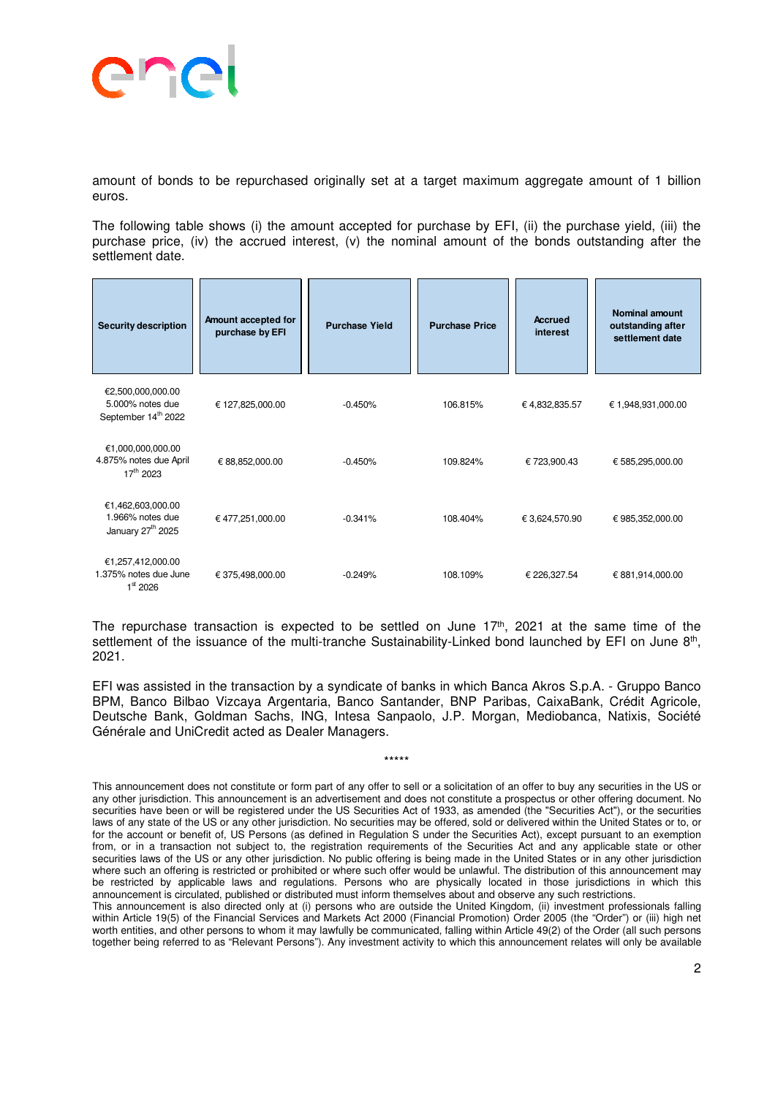

amount of bonds to be repurchased originally set at a target maximum aggregate amount of 1 billion euros.

The following table shows (i) the amount accepted for purchase by EFI, (ii) the purchase yield, (iii) the purchase price, (iv) the accrued interest, (v) the nominal amount of the bonds outstanding after the settlement date.

| <b>Security description</b>                                              | Amount accepted for<br>purchase by EFI | <b>Purchase Yield</b> | <b>Purchase Price</b> | <b>Accrued</b><br>interest | <b>Nominal amount</b><br>outstanding after<br>settlement date |
|--------------------------------------------------------------------------|----------------------------------------|-----------------------|-----------------------|----------------------------|---------------------------------------------------------------|
| €2,500,000,000.00<br>5.000% notes due<br>September 14 <sup>th</sup> 2022 | € 127,825,000.00                       | $-0.450%$             | 106.815%              | €4,832,835.57              | € 1,948,931,000.00                                            |
| €1,000,000,000.00<br>4.875% notes due April<br>$17^{th}$ 2023            | € 88,852,000.00                        | $-0.450%$             | 109.824%              | €723,900.43                | € 585,295,000.00                                              |
| €1,462,603,000.00<br>1.966% notes due<br>January 27 <sup>th</sup> 2025   | €477,251,000.00                        | $-0.341%$             | 108.404%              | € 3,624,570.90             | € 985,352,000.00                                              |
| €1,257,412,000.00<br>1.375% notes due June<br>$1^{\rm st}$ 2026          | € 375,498,000.00                       | $-0.249%$             | 108.109%              | € 226,327.54               | € 881,914,000.00                                              |

The repurchase transaction is expected to be settled on June  $17<sup>th</sup>$ , 2021 at the same time of the settlement of the issuance of the multi-tranche Sustainability-Linked bond launched by EFI on June 8<sup>th</sup>, 2021.

EFI was assisted in the transaction by a syndicate of banks in which Banca Akros S.p.A. - Gruppo Banco BPM, Banco Bilbao Vizcaya Argentaria, Banco Santander, BNP Paribas, CaixaBank, Crédit Agricole, Deutsche Bank, Goldman Sachs, ING, Intesa Sanpaolo, J.P. Morgan, Mediobanca, Natixis, Société Générale and UniCredit acted as Dealer Managers.

\*\*\*\*\*

This announcement does not constitute or form part of any offer to sell or a solicitation of an offer to buy any securities in the US or any other jurisdiction. This announcement is an advertisement and does not constitute a prospectus or other offering document. No securities have been or will be registered under the US Securities Act of 1933, as amended (the "Securities Act"), or the securities laws of any state of the US or any other jurisdiction. No securities may be offered, sold or delivered within the United States or to, or for the account or benefit of, US Persons (as defined in Regulation S under the Securities Act), except pursuant to an exemption from, or in a transaction not subject to, the registration requirements of the Securities Act and any applicable state or other securities laws of the US or any other jurisdiction. No public offering is being made in the United States or in any other jurisdiction where such an offering is restricted or prohibited or where such offer would be unlawful. The distribution of this announcement may be restricted by applicable laws and regulations. Persons who are physically located in those jurisdictions in which this announcement is circulated, published or distributed must inform themselves about and observe any such restrictions.

This announcement is also directed only at (i) persons who are outside the United Kingdom, (ii) investment professionals falling within Article 19(5) of the Financial Services and Markets Act 2000 (Financial Promotion) Order 2005 (the "Order") or (iii) high net worth entities, and other persons to whom it may lawfully be communicated, falling within Article 49(2) of the Order (all such persons together being referred to as "Relevant Persons"). Any investment activity to which this announcement relates will only be available